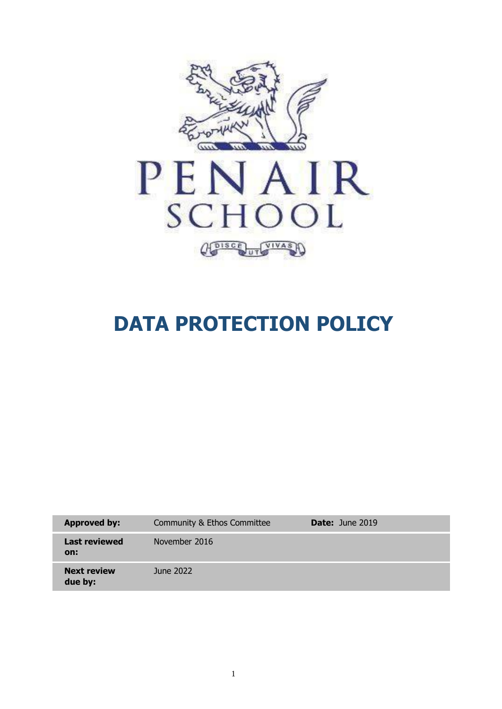

# **DATA PROTECTION POLICY**

| <b>Approved by:</b>           | Community & Ethos Committee | <b>Date:</b> June 2019 |
|-------------------------------|-----------------------------|------------------------|
| <b>Last reviewed</b><br>on:   | November 2016               |                        |
| <b>Next review</b><br>due by: | June 2022                   |                        |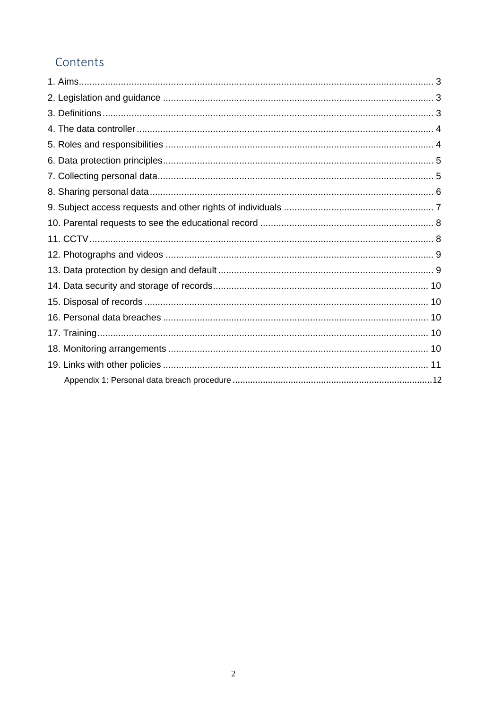# Contents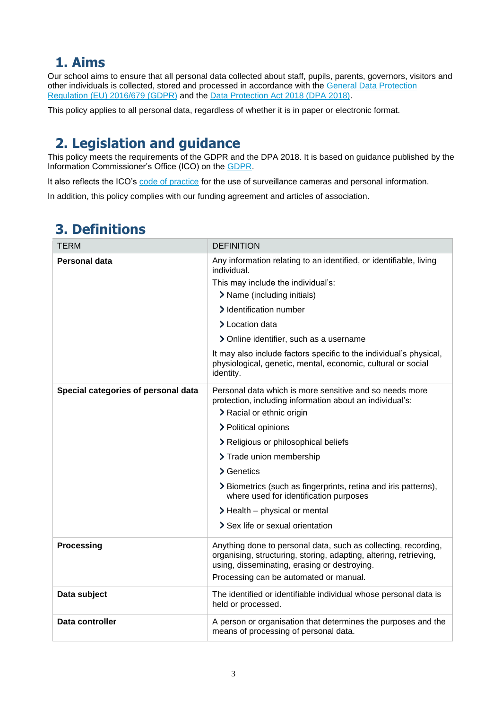# <span id="page-2-0"></span>**1. Aims**

Our school aims to ensure that all personal data collected about staff, pupils, parents, governors, visitors and other individuals is collected, stored and processed in accordance with the [General Data Protection](https://eur-lex.europa.eu/legal-content/EN/TXT/?qid=1528874672298&uri=CELEX:02016R0679-20160504)  Regulation [\(EU\) 2016/679](https://eur-lex.europa.eu/legal-content/EN/TXT/?qid=1528874672298&uri=CELEX:02016R0679-20160504) (GDPR) and the [Data Protection Act 2018 \(DPA 2018\).](http://www.legislation.gov.uk/ukpga/2018/12/contents/enacted)

This policy applies to all personal data, regardless of whether it is in paper or electronic format.

# <span id="page-2-1"></span>**2. Legislation and guidance**

This policy meets the requirements of the GDPR and the DPA 2018. It is based on guidance published by the Information Commissioner's Office (ICO) on the [GDPR.](https://ico.org.uk/for-organisations/guide-to-the-general-data-protection-regulation-gdpr/)

It also reflects the ICO's [code of practice](https://ico.org.uk/media/for-organisations/documents/1542/cctv-code-of-practice.pdf) for the use of surveillance cameras and personal information.

In addition, this policy complies with our funding agreement and articles of association.

# <span id="page-2-2"></span>**3. Definitions**

| TERM                                | <b>DEFINITION</b>                                                                                                                                                                   |
|-------------------------------------|-------------------------------------------------------------------------------------------------------------------------------------------------------------------------------------|
| Personal data                       | Any information relating to an identified, or identifiable, living<br>individual.                                                                                                   |
|                                     | This may include the individual's:                                                                                                                                                  |
|                                     | > Name (including initials)                                                                                                                                                         |
|                                     | > Identification number                                                                                                                                                             |
|                                     | > Location data                                                                                                                                                                     |
|                                     | > Online identifier, such as a username                                                                                                                                             |
|                                     | It may also include factors specific to the individual's physical,<br>physiological, genetic, mental, economic, cultural or social<br>identity.                                     |
| Special categories of personal data | Personal data which is more sensitive and so needs more<br>protection, including information about an individual's:                                                                 |
|                                     | > Racial or ethnic origin                                                                                                                                                           |
|                                     | > Political opinions                                                                                                                                                                |
|                                     | > Religious or philosophical beliefs                                                                                                                                                |
|                                     | > Trade union membership                                                                                                                                                            |
|                                     | > Genetics                                                                                                                                                                          |
|                                     | > Biometrics (such as fingerprints, retina and iris patterns),<br>where used for identification purposes                                                                            |
|                                     | $\blacktriangleright$ Health – physical or mental                                                                                                                                   |
|                                     | > Sex life or sexual orientation                                                                                                                                                    |
| <b>Processing</b>                   | Anything done to personal data, such as collecting, recording,<br>organising, structuring, storing, adapting, altering, retrieving,<br>using, disseminating, erasing or destroying. |
|                                     | Processing can be automated or manual.                                                                                                                                              |
| Data subject                        | The identified or identifiable individual whose personal data is<br>held or processed.                                                                                              |
| Data controller                     | A person or organisation that determines the purposes and the<br>means of processing of personal data.                                                                              |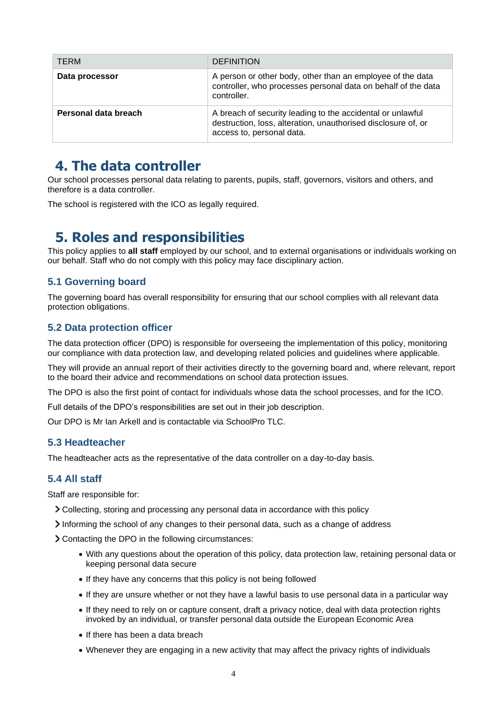| <b>TERM</b>          | <b>DEFINITION</b>                                                                                                                                        |
|----------------------|----------------------------------------------------------------------------------------------------------------------------------------------------------|
| Data processor       | A person or other body, other than an employee of the data<br>controller, who processes personal data on behalf of the data<br>controller.               |
| Personal data breach | A breach of security leading to the accidental or unlawful<br>destruction, loss, alteration, unauthorised disclosure of, or<br>access to, personal data. |

### <span id="page-3-0"></span>**4. The data controller**

Our school processes personal data relating to parents, pupils, staff, governors, visitors and others, and therefore is a data controller.

The school is registered with the ICO as legally required.

## <span id="page-3-1"></span>**5. Roles and responsibilities**

This policy applies to **all staff** employed by our school, and to external organisations or individuals working on our behalf. Staff who do not comply with this policy may face disciplinary action.

#### **5.1 Governing board**

The governing board has overall responsibility for ensuring that our school complies with all relevant data protection obligations.

#### **5.2 Data protection officer**

The data protection officer (DPO) is responsible for overseeing the implementation of this policy, monitoring our compliance with data protection law, and developing related policies and guidelines where applicable.

They will provide an annual report of their activities directly to the governing board and, where relevant, report to the board their advice and recommendations on school data protection issues.

The DPO is also the first point of contact for individuals whose data the school processes, and for the ICO.

Full details of the DPO's responsibilities are set out in their job description.

Our DPO is Mr Ian Arkell and is contactable via SchoolPro TLC.

#### **5.3 Headteacher**

The headteacher acts as the representative of the data controller on a day-to-day basis.

#### **5.4 All staff**

Staff are responsible for:

- Collecting, storing and processing any personal data in accordance with this policy
- Informing the school of any changes to their personal data, such as a change of address
- Contacting the DPO in the following circumstances:
	- With any questions about the operation of this policy, data protection law, retaining personal data or keeping personal data secure
	- If they have any concerns that this policy is not being followed
	- If they are unsure whether or not they have a lawful basis to use personal data in a particular way
	- If they need to rely on or capture consent, draft a privacy notice, deal with data protection rights invoked by an individual, or transfer personal data outside the European Economic Area
	- If there has been a data breach
	- Whenever they are engaging in a new activity that may affect the privacy rights of individuals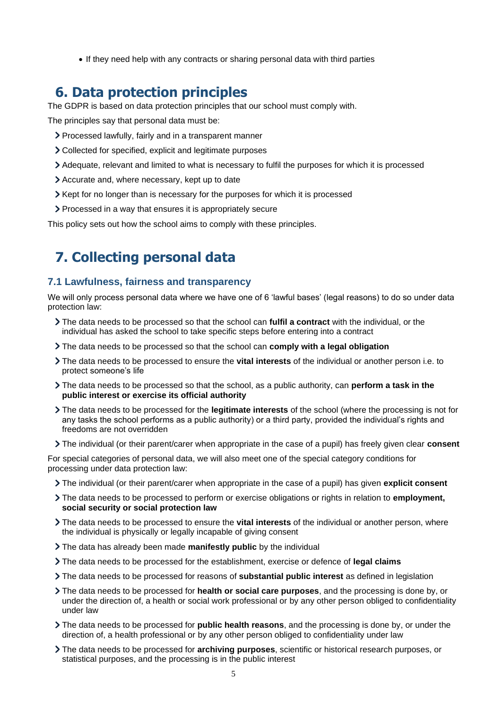• If they need help with any contracts or sharing personal data with third parties

### <span id="page-4-0"></span>**6. Data protection principles**

The GDPR is based on data protection principles that our school must comply with.

The principles say that personal data must be:

- Processed lawfully, fairly and in a transparent manner
- Collected for specified, explicit and legitimate purposes
- Adequate, relevant and limited to what is necessary to fulfil the purposes for which it is processed
- Accurate and, where necessary, kept up to date
- Xept for no longer than is necessary for the purposes for which it is processed
- Processed in a way that ensures it is appropriately secure

This policy sets out how the school aims to comply with these principles.

# <span id="page-4-1"></span>**7. Collecting personal data**

#### **7.1 Lawfulness, fairness and transparency**

We will only process personal data where we have one of 6 'lawful bases' (legal reasons) to do so under data protection law:

- The data needs to be processed so that the school can **fulfil a contract** with the individual, or the individual has asked the school to take specific steps before entering into a contract
- The data needs to be processed so that the school can **comply with a legal obligation**
- The data needs to be processed to ensure the **vital interests** of the individual or another person i.e. to protect someone's life
- The data needs to be processed so that the school, as a public authority, can **perform a task in the public interest or exercise its official authority**
- The data needs to be processed for the **legitimate interests** of the school (where the processing is not for any tasks the school performs as a public authority) or a third party, provided the individual's rights and freedoms are not overridden
- The individual (or their parent/carer when appropriate in the case of a pupil) has freely given clear **consent**

For special categories of personal data, we will also meet one of the special category conditions for processing under data protection law:

- The individual (or their parent/carer when appropriate in the case of a pupil) has given **explicit consent**
- The data needs to be processed to perform or exercise obligations or rights in relation to **employment, social security or social protection law**
- The data needs to be processed to ensure the **vital interests** of the individual or another person, where the individual is physically or legally incapable of giving consent
- The data has already been made **manifestly public** by the individual
- The data needs to be processed for the establishment, exercise or defence of **legal claims**
- The data needs to be processed for reasons of **substantial public interest** as defined in legislation
- The data needs to be processed for **health or social care purposes**, and the processing is done by, or under the direction of, a health or social work professional or by any other person obliged to confidentiality under law
- The data needs to be processed for **public health reasons**, and the processing is done by, or under the direction of, a health professional or by any other person obliged to confidentiality under law
- The data needs to be processed for **archiving purposes**, scientific or historical research purposes, or statistical purposes, and the processing is in the public interest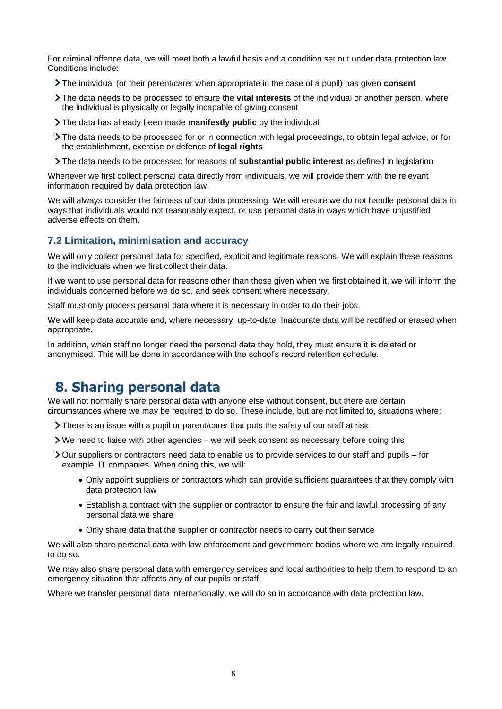For criminal offence data, we will meet both a lawful basis and a condition set out under data protection law. Conditions include:

- The individual (or their parent/carer when appropriate in the case of a pupil) has given **consent**
- The data needs to be processed to ensure the **vital interests** of the individual or another person, where the individual is physically or legally incapable of giving consent
- The data has already been made **manifestly public** by the individual
- The data needs to be processed for or in connection with legal proceedings, to obtain legal advice, or for the establishment, exercise or defence of **legal rights**
- The data needs to be processed for reasons of **substantial public interest** as defined in legislation

Whenever we first collect personal data directly from individuals, we will provide them with the relevant information required by data protection law.

We will always consider the fairness of our data processing. We will ensure we do not handle personal data in ways that individuals would not reasonably expect, or use personal data in ways which have unjustified adverse effects on them.

#### **7.2 Limitation, minimisation and accuracy**

We will only collect personal data for specified, explicit and legitimate reasons. We will explain these reasons to the individuals when we first collect their data.

If we want to use personal data for reasons other than those given when we first obtained it, we will inform the individuals concerned before we do so, and seek consent where necessary.

Staff must only process personal data where it is necessary in order to do their jobs.

We will keep data accurate and, where necessary, up-to-date. Inaccurate data will be rectified or erased when appropriate.

In addition, when staff no longer need the personal data they hold, they must ensure it is deleted or anonymised. This will be done in accordance with the school's record retention schedule.

### <span id="page-5-0"></span>**8. Sharing personal data**

We will not normally share personal data with anyone else without consent, but there are certain circumstances where we may be required to do so. These include, but are not limited to, situations where:

- There is an issue with a pupil or parent/carer that puts the safety of our staff at risk
- We need to liaise with other agencies we will seek consent as necessary before doing this
- Our suppliers or contractors need data to enable us to provide services to our staff and pupils for example, IT companies. When doing this, we will:
	- Only appoint suppliers or contractors which can provide sufficient guarantees that they comply with data protection law
	- Establish a contract with the supplier or contractor to ensure the fair and lawful processing of any personal data we share
	- Only share data that the supplier or contractor needs to carry out their service

We will also share personal data with law enforcement and government bodies where we are legally required to do so.

We may also share personal data with emergency services and local authorities to help them to respond to an emergency situation that affects any of our pupils or staff.

Where we transfer personal data internationally, we will do so in accordance with data protection law.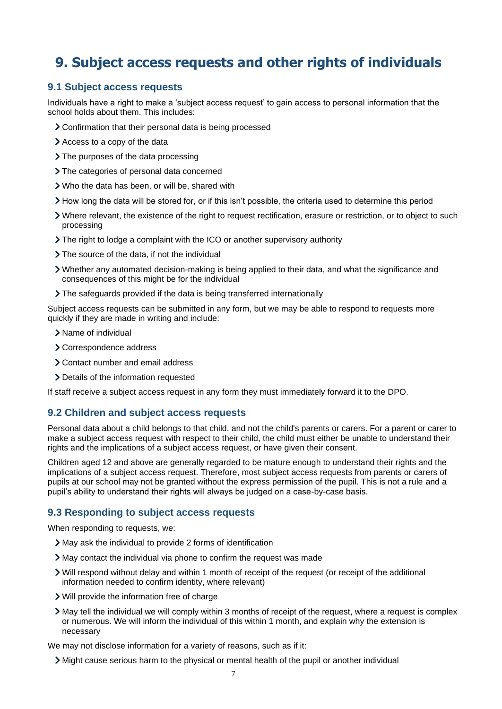# <span id="page-6-0"></span>**9. Subject access requests and other rights of individuals**

#### **9.1 Subject access requests**

Individuals have a right to make a 'subject access request' to gain access to personal information that the school holds about them. This includes:

- Confirmation that their personal data is being processed
- Access to a copy of the data
- > The purposes of the data processing
- > The categories of personal data concerned
- Who the data has been, or will be, shared with
- How long the data will be stored for, or if this isn't possible, the criteria used to determine this period
- Where relevant, the existence of the right to request rectification, erasure or restriction, or to object to such processing
- The right to lodge a complaint with the ICO or another supervisory authority
- > The source of the data, if not the individual
- Whether any automated decision-making is being applied to their data, and what the significance and consequences of this might be for the individual
- The safeguards provided if the data is being transferred internationally

Subject access requests can be submitted in any form, but we may be able to respond to requests more quickly if they are made in writing and include:

- > Name of individual
- Correspondence address
- Contact number and email address
- > Details of the information requested

If staff receive a subject access request in any form they must immediately forward it to the DPO.

#### **9.2 Children and subject access requests**

Personal data about a child belongs to that child, and not the child's parents or carers. For a parent or carer to make a subject access request with respect to their child, the child must either be unable to understand their rights and the implications of a subject access request, or have given their consent.

Children aged 12 and above are generally regarded to be mature enough to understand their rights and the implications of a subject access request. Therefore, most subject access requests from parents or carers of pupils at our school may not be granted without the express permission of the pupil. This is not a rule and a pupil's ability to understand their rights will always be judged on a case-by-case basis.

#### **9.3 Responding to subject access requests**

When responding to requests, we:

- May ask the individual to provide 2 forms of identification
- May contact the individual via phone to confirm the request was made
- Will respond without delay and within 1 month of receipt of the request (or receipt of the additional information needed to confirm identity, where relevant)
- Will provide the information free of charge
- May tell the individual we will comply within 3 months of receipt of the request, where a request is complex or numerous. We will inform the individual of this within 1 month, and explain why the extension is necessary

We may not disclose information for a variety of reasons, such as if it:

Might cause serious harm to the physical or mental health of the pupil or another individual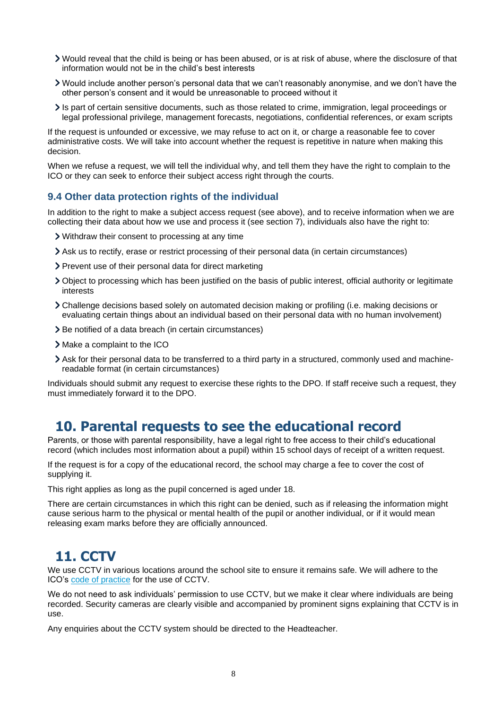- Would reveal that the child is being or has been abused, or is at risk of abuse, where the disclosure of that information would not be in the child's best interests
- Would include another person's personal data that we can't reasonably anonymise, and we don't have the other person's consent and it would be unreasonable to proceed without it
- Is part of certain sensitive documents, such as those related to crime, immigration, legal proceedings or legal professional privilege, management forecasts, negotiations, confidential references, or exam scripts

If the request is unfounded or excessive, we may refuse to act on it, or charge a reasonable fee to cover administrative costs. We will take into account whether the request is repetitive in nature when making this decision.

When we refuse a request, we will tell the individual why, and tell them they have the right to complain to the ICO or they can seek to enforce their subject access right through the courts.

#### **9.4 Other data protection rights of the individual**

In addition to the right to make a subject access request (see above), and to receive information when we are collecting their data about how we use and process it (see section 7), individuals also have the right to:

- Withdraw their consent to processing at any time
- Ask us to rectify, erase or restrict processing of their personal data (in certain circumstances)
- > Prevent use of their personal data for direct marketing
- Object to processing which has been justified on the basis of public interest, official authority or legitimate interests
- Challenge decisions based solely on automated decision making or profiling (i.e. making decisions or evaluating certain things about an individual based on their personal data with no human involvement)
- > Be notified of a data breach (in certain circumstances)
- > Make a complaint to the ICO
- Ask for their personal data to be transferred to a third party in a structured, commonly used and machinereadable format (in certain circumstances)

Individuals should submit any request to exercise these rights to the DPO. If staff receive such a request, they must immediately forward it to the DPO.

### <span id="page-7-0"></span>**10. Parental requests to see the educational record**

Parents, or those with parental responsibility, have a legal right to free access to their child's educational record (which includes most information about a pupil) within 15 school days of receipt of a written request.

If the request is for a copy of the educational record, the school may charge a fee to cover the cost of supplying it.

This right applies as long as the pupil concerned is aged under 18.

There are certain circumstances in which this right can be denied, such as if releasing the information might cause serious harm to the physical or mental health of the pupil or another individual, or if it would mean releasing exam marks before they are officially announced.

### <span id="page-7-1"></span>**11. CCTV**

We use CCTV in various locations around the school site to ensure it remains safe. We will adhere to the ICO's [code of practice](https://ico.org.uk/media/for-organisations/documents/1542/cctv-code-of-practice.pdf) for the use of CCTV.

We do not need to ask individuals' permission to use CCTV, but we make it clear where individuals are being recorded. Security cameras are clearly visible and accompanied by prominent signs explaining that CCTV is in use.

Any enquiries about the CCTV system should be directed to the Headteacher.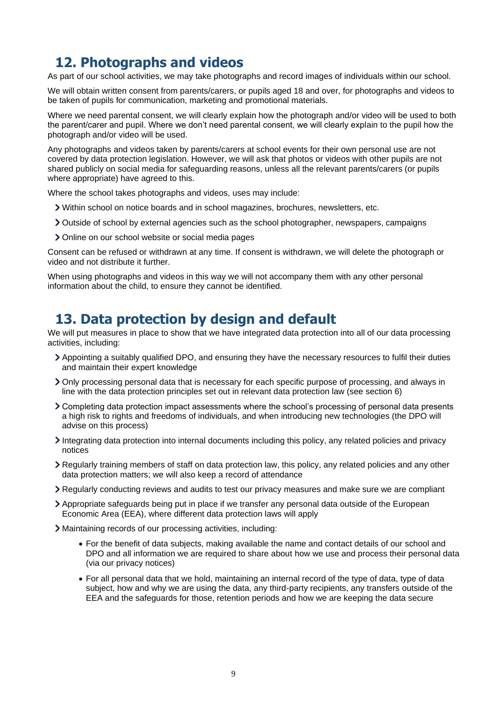# <span id="page-8-0"></span>**12. Photographs and videos**

As part of our school activities, we may take photographs and record images of individuals within our school.

We will obtain written consent from parents/carers, or pupils aged 18 and over, for photographs and videos to be taken of pupils for communication, marketing and promotional materials.

Where we need parental consent, we will clearly explain how the photograph and/or video will be used to both the parent/carer and pupil. Where we don't need parental consent, we will clearly explain to the pupil how the photograph and/or video will be used.

Any photographs and videos taken by parents/carers at school events for their own personal use are not covered by data protection legislation. However, we will ask that photos or videos with other pupils are not shared publicly on social media for safeguarding reasons, unless all the relevant parents/carers (or pupils where appropriate) have agreed to this.

Where the school takes photographs and videos, uses may include:

- Within school on notice boards and in school magazines, brochures, newsletters, etc.
- Outside of school by external agencies such as the school photographer, newspapers, campaigns
- > Online on our school website or social media pages

Consent can be refused or withdrawn at any time. If consent is withdrawn, we will delete the photograph or video and not distribute it further.

When using photographs and videos in this way we will not accompany them with any other personal information about the child, to ensure they cannot be identified.

### <span id="page-8-1"></span>**13. Data protection by design and default**

We will put measures in place to show that we have integrated data protection into all of our data processing activities, including:

- Appointing a suitably qualified DPO, and ensuring they have the necessary resources to fulfil their duties and maintain their expert knowledge
- Only processing personal data that is necessary for each specific purpose of processing, and always in line with the data protection principles set out in relevant data protection law (see section 6)
- Completing data protection impact assessments where the school's processing of personal data presents a high risk to rights and freedoms of individuals, and when introducing new technologies (the DPO will advise on this process)
- Integrating data protection into internal documents including this policy, any related policies and privacy notices
- Regularly training members of staff on data protection law, this policy, any related policies and any other data protection matters; we will also keep a record of attendance
- Regularly conducting reviews and audits to test our privacy measures and make sure we are compliant
- Appropriate safeguards being put in place if we transfer any personal data outside of the European Economic Area (EEA), where different data protection laws will apply
- Maintaining records of our processing activities, including:
	- For the benefit of data subjects, making available the name and contact details of our school and DPO and all information we are required to share about how we use and process their personal data (via our privacy notices)
	- For all personal data that we hold, maintaining an internal record of the type of data, type of data subject, how and why we are using the data, any third-party recipients, any transfers outside of the EEA and the safeguards for those, retention periods and how we are keeping the data secure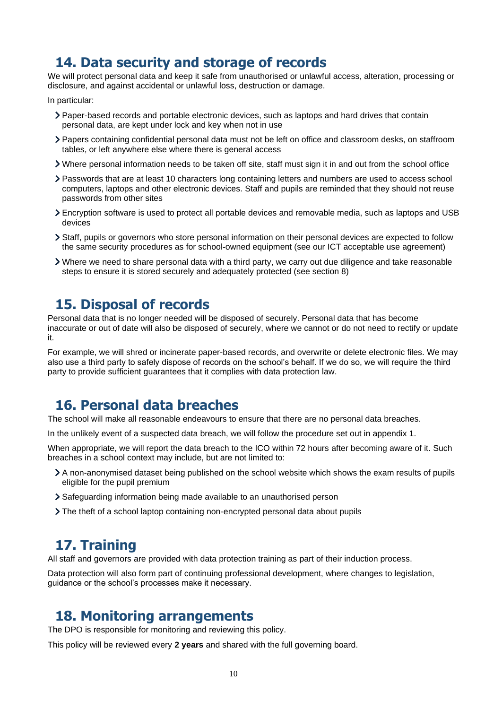### <span id="page-9-0"></span>**14. Data security and storage of records**

We will protect personal data and keep it safe from unauthorised or unlawful access, alteration, processing or disclosure, and against accidental or unlawful loss, destruction or damage.

In particular:

- Paper-based records and portable electronic devices, such as laptops and hard drives that contain personal data, are kept under lock and key when not in use
- Papers containing confidential personal data must not be left on office and classroom desks, on staffroom tables, or left anywhere else where there is general access
- Where personal information needs to be taken off site, staff must sign it in and out from the school office
- Passwords that are at least 10 characters long containing letters and numbers are used to access school computers, laptops and other electronic devices. Staff and pupils are reminded that they should not reuse passwords from other sites
- Encryption software is used to protect all portable devices and removable media, such as laptops and USB devices
- Staff, pupils or governors who store personal information on their personal devices are expected to follow the same security procedures as for school-owned equipment (see our ICT acceptable use agreement)
- Where we need to share personal data with a third party, we carry out due diligence and take reasonable steps to ensure it is stored securely and adequately protected (see section 8)

### <span id="page-9-1"></span>**15. Disposal of records**

Personal data that is no longer needed will be disposed of securely. Personal data that has become inaccurate or out of date will also be disposed of securely, where we cannot or do not need to rectify or update it.

For example, we will shred or incinerate paper-based records, and overwrite or delete electronic files. We may also use a third party to safely dispose of records on the school's behalf. If we do so, we will require the third party to provide sufficient guarantees that it complies with data protection law.

### <span id="page-9-2"></span>**16. Personal data breaches**

The school will make all reasonable endeavours to ensure that there are no personal data breaches.

In the unlikely event of a suspected data breach, we will follow the procedure set out in appendix 1.

When appropriate, we will report the data breach to the ICO within 72 hours after becoming aware of it. Such breaches in a school context may include, but are not limited to:

- A non-anonymised dataset being published on the school website which shows the exam results of pupils eligible for the pupil premium
- Safeguarding information being made available to an unauthorised person
- The theft of a school laptop containing non-encrypted personal data about pupils

### <span id="page-9-3"></span>**17. Training**

All staff and governors are provided with data protection training as part of their induction process.

Data protection will also form part of continuing professional development, where changes to legislation, guidance or the school's processes make it necessary.

### <span id="page-9-4"></span>**18. Monitoring arrangements**

The DPO is responsible for monitoring and reviewing this policy.

This policy will be reviewed every **2 years** and shared with the full governing board.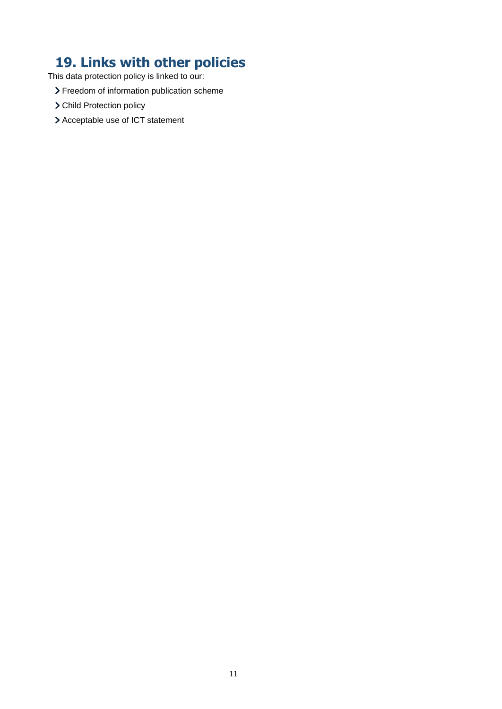# <span id="page-10-0"></span>**19. Links with other policies**

This data protection policy is linked to our:

- > Freedom of information publication scheme
- > Child Protection policy
- > Acceptable use of ICT statement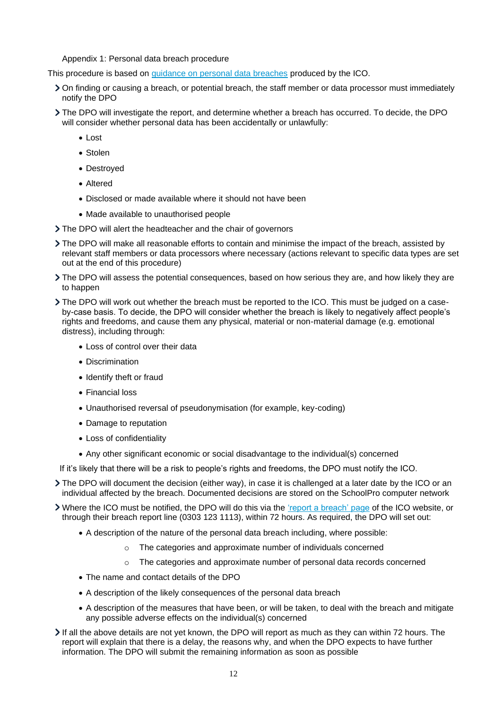Appendix 1: Personal data breach procedure

<span id="page-11-0"></span>This procedure is based on [guidance on personal data breaches](https://ico.org.uk/for-organisations/guide-to-the-general-data-protection-regulation-gdpr/personal-data-breaches/) produced by the ICO.

- On finding or causing a breach, or potential breach, the staff member or data processor must immediately notify the DPO
- The DPO will investigate the report, and determine whether a breach has occurred. To decide, the DPO will consider whether personal data has been accidentally or unlawfully:
	- Lost
	- Stolen
	- Destroyed
	- Altered
	- Disclosed or made available where it should not have been
	- Made available to unauthorised people
- > The DPO will alert the headteacher and the chair of governors
- The DPO will make all reasonable efforts to contain and minimise the impact of the breach, assisted by relevant staff members or data processors where necessary (actions relevant to specific data types are set out at the end of this procedure)
- The DPO will assess the potential consequences, based on how serious they are, and how likely they are to happen
- The DPO will work out whether the breach must be reported to the ICO. This must be judged on a caseby-case basis. To decide, the DPO will consider whether the breach is likely to negatively affect people's rights and freedoms, and cause them any physical, material or non-material damage (e.g. emotional distress), including through:
	- Loss of control over their data
	- Discrimination
	- Identify theft or fraud
	- Financial loss
	- Unauthorised reversal of pseudonymisation (for example, key-coding)
	- Damage to reputation
	- Loss of confidentiality
	- Any other significant economic or social disadvantage to the individual(s) concerned

If it's likely that there will be a risk to people's rights and freedoms, the DPO must notify the ICO.

- The DPO will document the decision (either way), in case it is challenged at a later date by the ICO or an individual affected by the breach. Documented decisions are stored on the SchoolPro computer network
- Where the ICO must be notified, the DPO will do this via the 'report [a breach' page](https://ico.org.uk/for-organisations/report-a-breach/) of the ICO website, or through their breach report line (0303 123 1113), within 72 hours. As required, the DPO will set out:
	- A description of the nature of the personal data breach including, where possible:
		- o The categories and approximate number of individuals concerned
		- $\circ$  The categories and approximate number of personal data records concerned
	- The name and contact details of the DPO
	- A description of the likely consequences of the personal data breach
	- A description of the measures that have been, or will be taken, to deal with the breach and mitigate any possible adverse effects on the individual(s) concerned
- If all the above details are not yet known, the DPO will report as much as they can within 72 hours. The report will explain that there is a delay, the reasons why, and when the DPO expects to have further information. The DPO will submit the remaining information as soon as possible